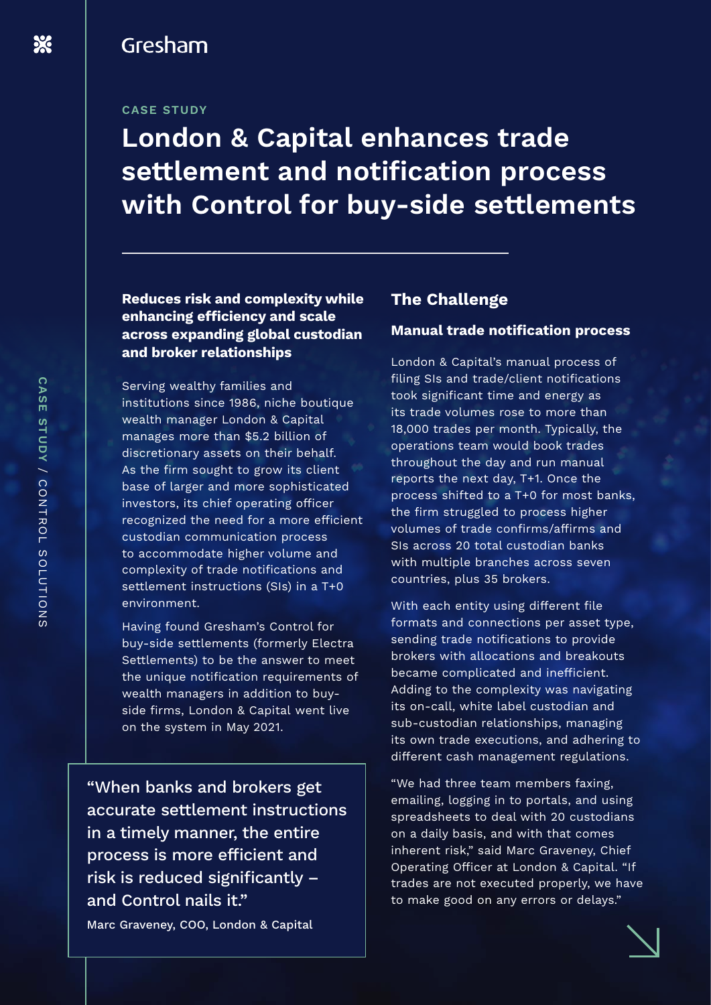# Gresham

#### **CASE STUDY**

# **London & Capital enhances trade settlement and notification process with Control for buy-side settlements**

**Reduces risk and complexity while enhancing efficiency and scale across expanding global custodian and broker relationships**

Serving wealthy families and institutions since 1986, niche boutique wealth manager London & Capital manages more than \$5.2 billion of discretionary assets on their behalf. As the firm sought to grow its client base of larger and more sophisticated investors, its chief operating officer recognized the need for a more efficient custodian communication process to accommodate higher volume and complexity of trade notifications and settlement instructions (SIs) in a T+0 environment.

Having found Gresham's Control for buy-side settlements (formerly Electra Settlements) to be the answer to meet the unique notification requirements of wealth managers in addition to buyside firms, London & Capital went live on the system in May 2021.

"When banks and brokers get accurate settlement instructions in a timely manner, the entire process is more efficient and risk is reduced significantly – and Control nails it."

Marc Graveney, COO, London & Capital

#### **The Challenge**

#### **Manual trade notification process**

London & Capital's manual process of filing SIs and trade/client notifications took significant time and energy as its trade volumes rose to more than 18,000 trades per month. Typically, the operations team would book trades throughout the day and run manual reports the next day, T+1. Once the process shifted to a T+0 for most banks, the firm struggled to process higher volumes of trade confirms/affirms and SIs across 20 total custodian banks with multiple branches across seven countries, plus 35 brokers.

With each entity using different file formats and connections per asset type, sending trade notifications to provide brokers with allocations and breakouts became complicated and inefficient. Adding to the complexity was navigating its on-call, white label custodian and sub-custodian relationships, managing its own trade executions, and adhering to different cash management regulations.

"We had three team members faxing, emailing, logging in to portals, and using spreadsheets to deal with 20 custodians on a daily basis, and with that comes inherent risk," said Marc Graveney, Chief Operating Officer at London & Capital. "If trades are not executed properly, we have to make good on any errors or delays."